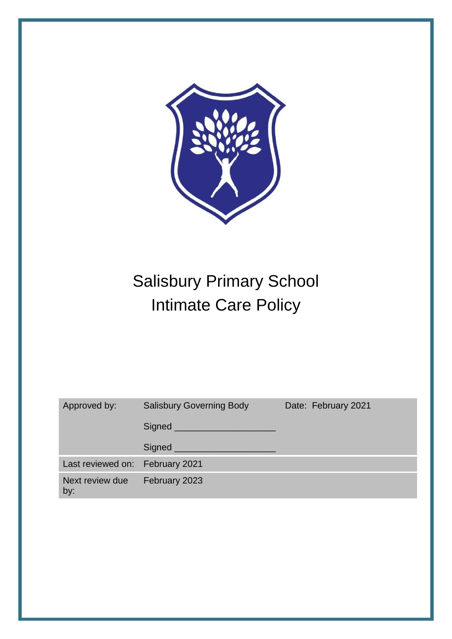

# Salisbury Primary School Intimate Care Policy

| Approved by:                    | <b>Salisbury Governing Body</b> | Date: February 2021 |
|---------------------------------|---------------------------------|---------------------|
|                                 | Signed <u>Signed</u>            |                     |
|                                 | $Sigma$ $\_\_$                  |                     |
| Last reviewed on: February 2021 |                                 |                     |
| Next review due<br>by:          | February 2023                   |                     |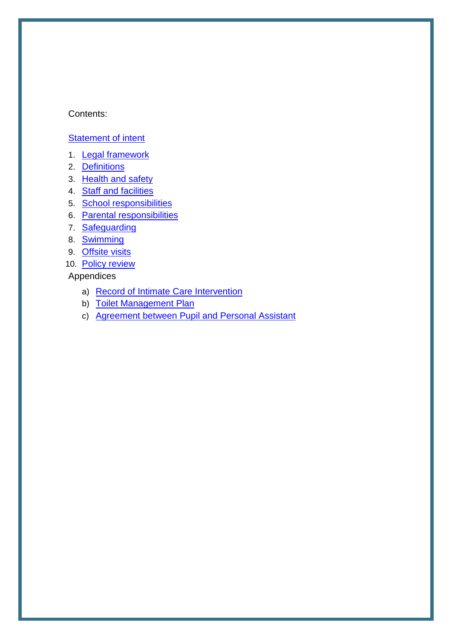#### Contents:

#### [Statement of intent](#page-2-0)

- 1. [Legal framework](#page-3-0)
- 2. [Definitions](#page-3-1)
- 3. [Health and safety](#page-4-0)
- 4. [Staff and facilities](#page-4-1)
- 5. [School responsibilities](#page-5-0)
- 6. [Parental responsibilities](#page-6-0)
- 7. [Safeguarding](#page-7-0)
- 8. [Swimming](#page-7-1)
- 9. [Offsite visits](#page-7-2)
- 10. [Policy review](#page-8-0)

## Appendices

- a) [Record of Intimate Care Intervention](#page-9-0)
- b) [Toilet Management Plan](#page-9-1)
- c) [Agreement between Pupil and Personal Assistant](#page-11-0)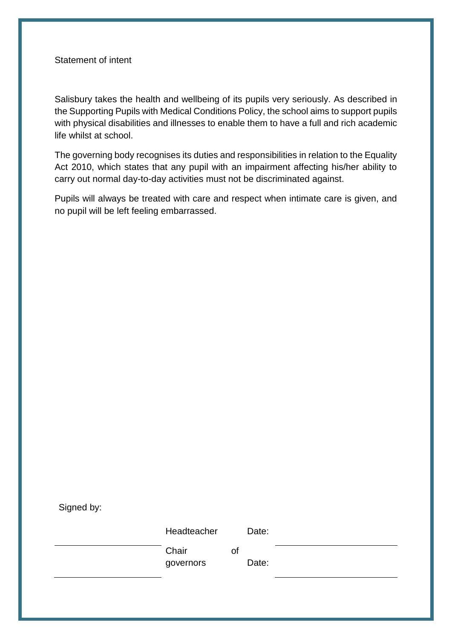#### <span id="page-2-0"></span>Statement of intent

Salisbury takes the health and wellbeing of its pupils very seriously. As described in the Supporting Pupils with Medical Conditions Policy, the school aims to support pupils with physical disabilities and illnesses to enable them to have a full and rich academic life whilst at school.

The governing body recognises its duties and responsibilities in relation to the Equality Act 2010, which states that any pupil with an impairment affecting his/her ability to carry out normal day-to-day activities must not be discriminated against.

Pupils will always be treated with care and respect when intimate care is given, and no pupil will be left feeling embarrassed.

| Signed by: |                    |    |       |  |
|------------|--------------------|----|-------|--|
|            | Headteacher        |    | Date: |  |
|            | Chair<br>governors | οf | Date: |  |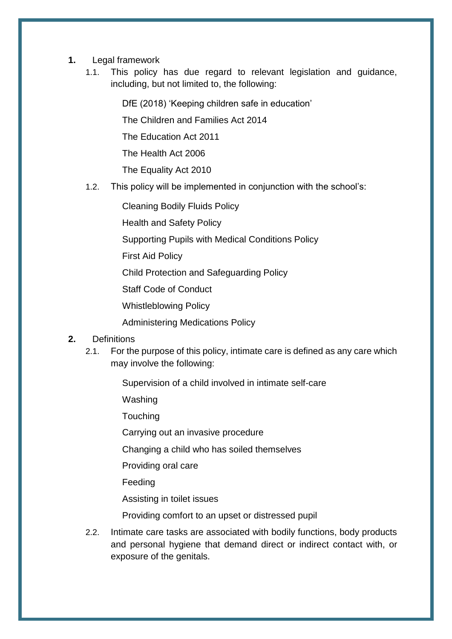- <span id="page-3-0"></span>**1.** Legal framework
	- 1.1. This policy has due regard to relevant legislation and guidance, including, but not limited to, the following:

DfE (2018) 'Keeping children safe in education'

The Children and Families Act 2014

The Education Act 2011

The Health Act 2006

The Equality Act 2010

1.2. This policy will be implemented in conjunction with the school's:

Cleaning Bodily Fluids Policy

Health and Safety Policy

Supporting Pupils with Medical Conditions Policy

First Aid Policy

Child Protection and Safeguarding Policy

Staff Code of Conduct

Whistleblowing Policy

Administering Medications Policy

#### <span id="page-3-1"></span>**2.** Definitions

2.1. For the purpose of this policy, intimate care is defined as any care which may involve the following:

Supervision of a child involved in intimate self-care

Washing

**Touching** 

Carrying out an invasive procedure

Changing a child who has soiled themselves

Providing oral care

Feeding

Assisting in toilet issues

Providing comfort to an upset or distressed pupil

2.2. Intimate care tasks are associated with bodily functions, body products and personal hygiene that demand direct or indirect contact with, or exposure of the genitals.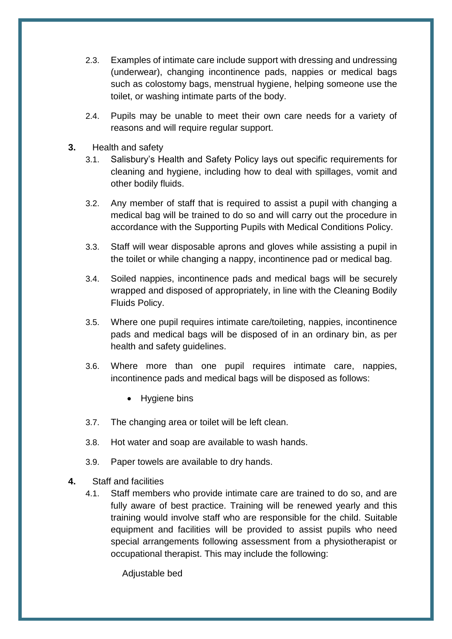- 2.3. Examples of intimate care include support with dressing and undressing (underwear), changing incontinence pads, nappies or medical bags such as colostomy bags, menstrual hygiene, helping someone use the toilet, or washing intimate parts of the body.
- 2.4. Pupils may be unable to meet their own care needs for a variety of reasons and will require regular support.
- <span id="page-4-0"></span>**3.** Health and safety
	- 3.1. Salisbury's Health and Safety Policy lays out specific requirements for cleaning and hygiene, including how to deal with spillages, vomit and other bodily fluids.
	- 3.2. Any member of staff that is required to assist a pupil with changing a medical bag will be trained to do so and will carry out the procedure in accordance with the Supporting Pupils with Medical Conditions Policy.
	- 3.3. Staff will wear disposable aprons and gloves while assisting a pupil in the toilet or while changing a nappy, incontinence pad or medical bag.
	- 3.4. Soiled nappies, incontinence pads and medical bags will be securely wrapped and disposed of appropriately, in line with the Cleaning Bodily Fluids Policy.
	- 3.5. Where one pupil requires intimate care/toileting, nappies, incontinence pads and medical bags will be disposed of in an ordinary bin, as per health and safety quidelines.
	- 3.6. Where more than one pupil requires intimate care, nappies, incontinence pads and medical bags will be disposed as follows:
		- Hygiene bins
	- 3.7. The changing area or toilet will be left clean.
	- 3.8. Hot water and soap are available to wash hands.
	- 3.9. Paper towels are available to dry hands.
- <span id="page-4-1"></span>**4.** Staff and facilities
	- 4.1. Staff members who provide intimate care are trained to do so, and are fully aware of best practice. Training will be renewed yearly and this training would involve staff who are responsible for the child. Suitable equipment and facilities will be provided to assist pupils who need special arrangements following assessment from a physiotherapist or occupational therapist. This may include the following:

Adjustable bed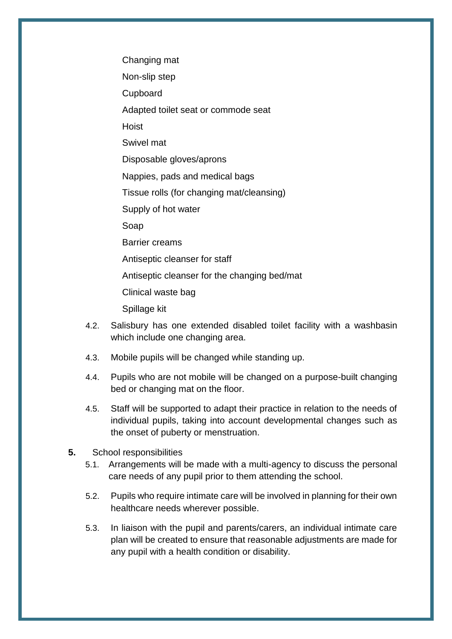Changing mat

Non-slip step

Cupboard

Adapted toilet seat or commode seat

Hoist

Swivel mat

Disposable gloves/aprons

Nappies, pads and medical bags

Tissue rolls (for changing mat/cleansing)

Supply of hot water

Soap

Barrier creams

Antiseptic cleanser for staff

Antiseptic cleanser for the changing bed/mat

Clinical waste bag

Spillage kit

- 4.2. Salisbury has one extended disabled toilet facility with a washbasin which include one changing area.
- 4.3. Mobile pupils will be changed while standing up.
- 4.4. Pupils who are not mobile will be changed on a purpose-built changing bed or changing mat on the floor.
- 4.5. Staff will be supported to adapt their practice in relation to the needs of individual pupils, taking into account developmental changes such as the onset of puberty or menstruation.
- <span id="page-5-0"></span>**5.** School responsibilities
	- 5.1. Arrangements will be made with a multi-agency to discuss the personal care needs of any pupil prior to them attending the school.
	- 5.2. Pupils who require intimate care will be involved in planning for their own healthcare needs wherever possible.
	- 5.3. In liaison with the pupil and parents/carers, an individual intimate care plan will be created to ensure that reasonable adjustments are made for any pupil with a health condition or disability.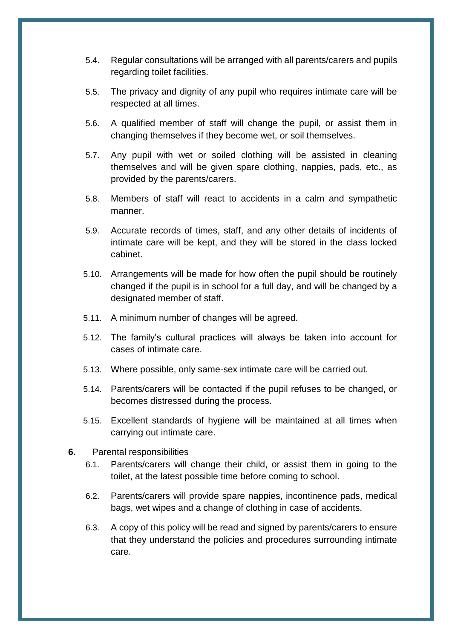- 5.4. Regular consultations will be arranged with all parents/carers and pupils regarding toilet facilities.
- 5.5. The privacy and dignity of any pupil who requires intimate care will be respected at all times.
- 5.6. A qualified member of staff will change the pupil, or assist them in changing themselves if they become wet, or soil themselves.
- 5.7. Any pupil with wet or soiled clothing will be assisted in cleaning themselves and will be given spare clothing, nappies, pads, etc., as provided by the parents/carers.
- 5.8. Members of staff will react to accidents in a calm and sympathetic manner.
- 5.9. Accurate records of times, staff, and any other details of incidents of intimate care will be kept, and they will be stored in the class locked cabinet.
- 5.10. Arrangements will be made for how often the pupil should be routinely changed if the pupil is in school for a full day, and will be changed by a designated member of staff.
- 5.11. A minimum number of changes will be agreed.
- 5.12. The family's cultural practices will always be taken into account for cases of intimate care.
- 5.13. Where possible, only same-sex intimate care will be carried out.
- 5.14. Parents/carers will be contacted if the pupil refuses to be changed, or becomes distressed during the process.
- 5.15. Excellent standards of hygiene will be maintained at all times when carrying out intimate care.
- <span id="page-6-0"></span>**6.** Parental responsibilities
	- 6.1. Parents/carers will change their child, or assist them in going to the toilet, at the latest possible time before coming to school.
	- 6.2. Parents/carers will provide spare nappies, incontinence pads, medical bags, wet wipes and a change of clothing in case of accidents.
	- 6.3. A copy of this policy will be read and signed by parents/carers to ensure that they understand the policies and procedures surrounding intimate care.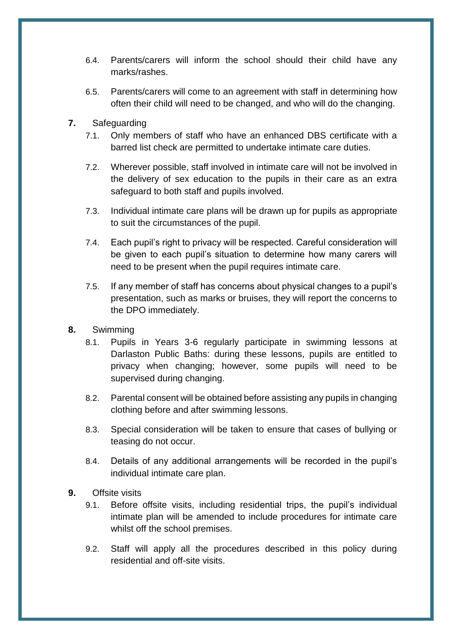- 6.4. Parents/carers will inform the school should their child have any marks/rashes.
- 6.5. Parents/carers will come to an agreement with staff in determining how often their child will need to be changed, and who will do the changing.
- <span id="page-7-0"></span>**7.** Safeguarding
	- 7.1. Only members of staff who have an enhanced DBS certificate with a barred list check are permitted to undertake intimate care duties.
	- 7.2. Wherever possible, staff involved in intimate care will not be involved in the delivery of sex education to the pupils in their care as an extra safeguard to both staff and pupils involved.
	- 7.3. Individual intimate care plans will be drawn up for pupils as appropriate to suit the circumstances of the pupil.
	- 7.4. Each pupil's right to privacy will be respected. Careful consideration will be given to each pupil's situation to determine how many carers will need to be present when the pupil requires intimate care.
	- 7.5. If any member of staff has concerns about physical changes to a pupil's presentation, such as marks or bruises, they will report the concerns to the DPO immediately.
- <span id="page-7-1"></span>**8.** Swimming
	- 8.1. Pupils in Years 3-6 regularly participate in swimming lessons at Darlaston Public Baths: during these lessons, pupils are entitled to privacy when changing; however, some pupils will need to be supervised during changing.
	- 8.2. Parental consent will be obtained before assisting any pupils in changing clothing before and after swimming lessons.
	- 8.3. Special consideration will be taken to ensure that cases of bullying or teasing do not occur.
	- 8.4. Details of any additional arrangements will be recorded in the pupil's individual intimate care plan.
- <span id="page-7-2"></span>**9.** Offsite visits
	- 9.1. Before offsite visits, including residential trips, the pupil's individual intimate plan will be amended to include procedures for intimate care whilst off the school premises.
	- 9.2. Staff will apply all the procedures described in this policy during residential and off-site visits.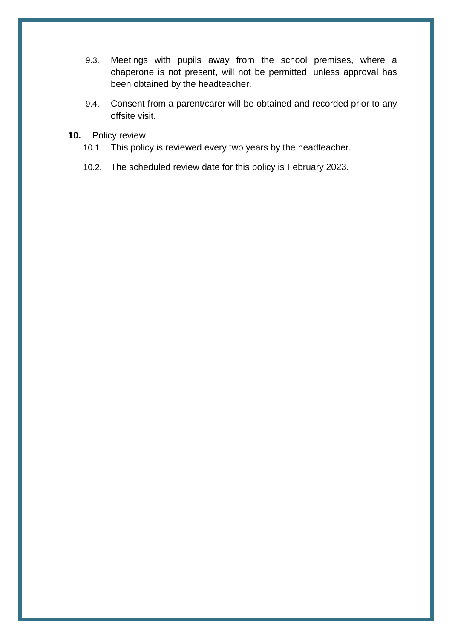- 9.3. Meetings with pupils away from the school premises, where a chaperone is not present, will not be permitted, unless approval has been obtained by the headteacher.
- 9.4. Consent from a parent/carer will be obtained and recorded prior to any offsite visit.
- <span id="page-8-0"></span>**10.** Policy review
	- 10.1. This policy is reviewed every two years by the headteacher.
	- 10.2. The scheduled review date for this policy is February 2023.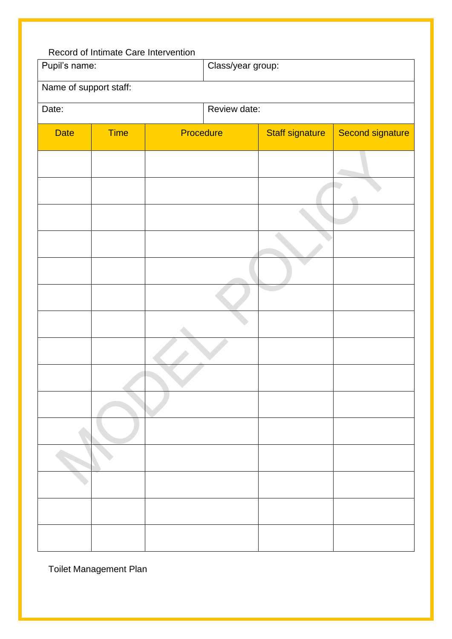<span id="page-9-0"></span>

|                        | Record of Intimate Care Intervention |           |                   |                        |                  |  |
|------------------------|--------------------------------------|-----------|-------------------|------------------------|------------------|--|
| Pupil's name:          |                                      |           | Class/year group: |                        |                  |  |
| Name of support staff: |                                      |           |                   |                        |                  |  |
| Date:                  |                                      |           | Review date:      |                        |                  |  |
| <b>Date</b>            | <b>Time</b>                          | Procedure |                   | <b>Staff signature</b> | Second signature |  |
|                        |                                      |           |                   |                        |                  |  |
|                        |                                      |           |                   |                        |                  |  |
|                        |                                      |           |                   |                        |                  |  |
|                        |                                      |           |                   |                        |                  |  |
|                        |                                      |           |                   |                        |                  |  |
|                        |                                      |           |                   |                        |                  |  |
|                        |                                      |           |                   |                        |                  |  |
|                        |                                      |           |                   |                        |                  |  |
|                        |                                      |           |                   |                        |                  |  |
|                        |                                      |           |                   |                        |                  |  |
|                        |                                      |           |                   |                        |                  |  |
|                        |                                      |           |                   |                        |                  |  |
|                        |                                      |           |                   |                        |                  |  |
|                        |                                      |           |                   |                        |                  |  |
|                        |                                      |           |                   |                        |                  |  |

<span id="page-9-1"></span>Toilet Management Plan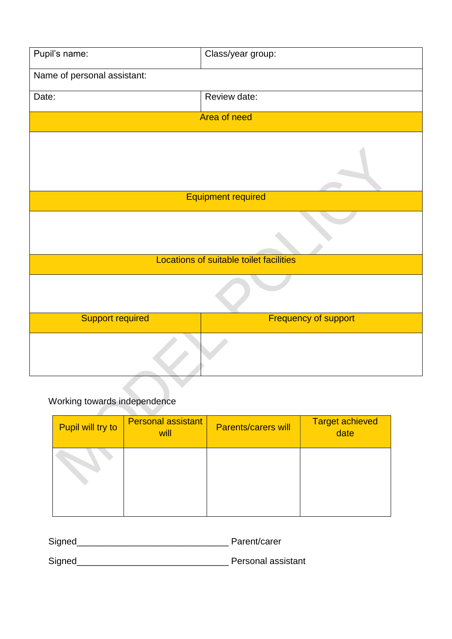| Pupil's name:                           | Class/year group:           |  |  |
|-----------------------------------------|-----------------------------|--|--|
| Name of personal assistant:             |                             |  |  |
| Date:                                   | Review date:                |  |  |
|                                         | Area of need                |  |  |
|                                         |                             |  |  |
|                                         | <b>Equipment required</b>   |  |  |
|                                         |                             |  |  |
| Locations of suitable toilet facilities |                             |  |  |
|                                         |                             |  |  |
| <b>Support required</b>                 | <b>Frequency of support</b> |  |  |
|                                         |                             |  |  |

# Working towards independence

| Pupil will try to | <b>Personal assistant</b><br>will | <b>Parents/carers will</b> | <b>Target achieved</b><br>date |
|-------------------|-----------------------------------|----------------------------|--------------------------------|
|                   |                                   |                            |                                |

Signed\_\_\_\_\_\_\_\_\_\_\_\_\_\_\_\_\_\_\_\_\_\_\_\_\_\_\_\_\_\_ Parent/carer

Signed\_\_\_\_\_\_\_\_\_\_\_\_\_\_\_\_\_\_\_\_\_\_\_\_\_\_\_\_\_\_ Personal assistant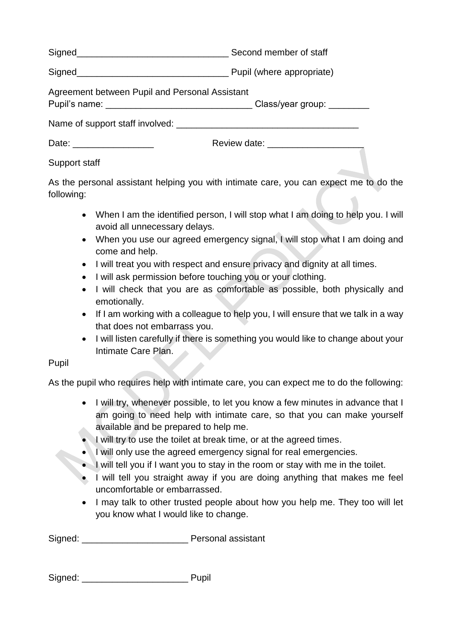Signed<br>
Second member of staff

Signed<br>
Signed<br>
Signed<br>
Signed<br>
Signed<br>
Signed<br>
Signed<br>
Signed<br>
Signed<br>
Signed<br>
Signed<br>
Signed<br>
Signed<br>
Signed<br>
Signed<br>
Signed<br>
Signed<br>
Signed<br>
Signed<br>
Signed<br>
Signed<br>
Signed<br>
Signed<br>
Signed<br>
Signed<br>
Signed<br>
Signed<br>
Signed

<span id="page-11-0"></span>Agreement between Pupil and Personal Assistant

Pupil's name: etc. and the contract of the Class/year group:  $\Box$ 

Name of support staff involved: \_\_\_\_\_\_\_\_\_\_\_\_\_\_\_\_\_\_\_\_\_\_\_\_\_\_\_\_\_\_\_\_\_\_\_\_

| Date: | Review date: |
|-------|--------------|

# Support staff

As the personal assistant helping you with intimate care, you can expect me to do the following:

- When I am the identified person, I will stop what I am doing to help you. I will avoid all unnecessary delays.
- When you use our agreed emergency signal, I will stop what I am doing and come and help.
- I will treat you with respect and ensure privacy and dignity at all times.
- I will ask permission before touching you or your clothing.
- I will check that you are as comfortable as possible, both physically and emotionally.
- If I am working with a colleague to help you, I will ensure that we talk in a way that does not embarrass you.
- I will listen carefully if there is something you would like to change about your Intimate Care Plan.

# Pupil

As the pupil who requires help with intimate care, you can expect me to do the following:

- I will try, whenever possible, to let you know a few minutes in advance that I am going to need help with intimate care, so that you can make yourself available and be prepared to help me.
- I will try to use the toilet at break time, or at the agreed times.
- I will only use the agreed emergency signal for real emergencies.
- I will tell you if I want you to stay in the room or stay with me in the toilet.
- I will tell you straight away if you are doing anything that makes me feel uncomfortable or embarrassed.
- I may talk to other trusted people about how you help me. They too will let you know what I would like to change.

Signed: \_\_\_\_\_\_\_\_\_\_\_\_\_\_\_\_\_\_\_\_\_ Personal assistant

| Signed: | Pupil |
|---------|-------|
|         |       |